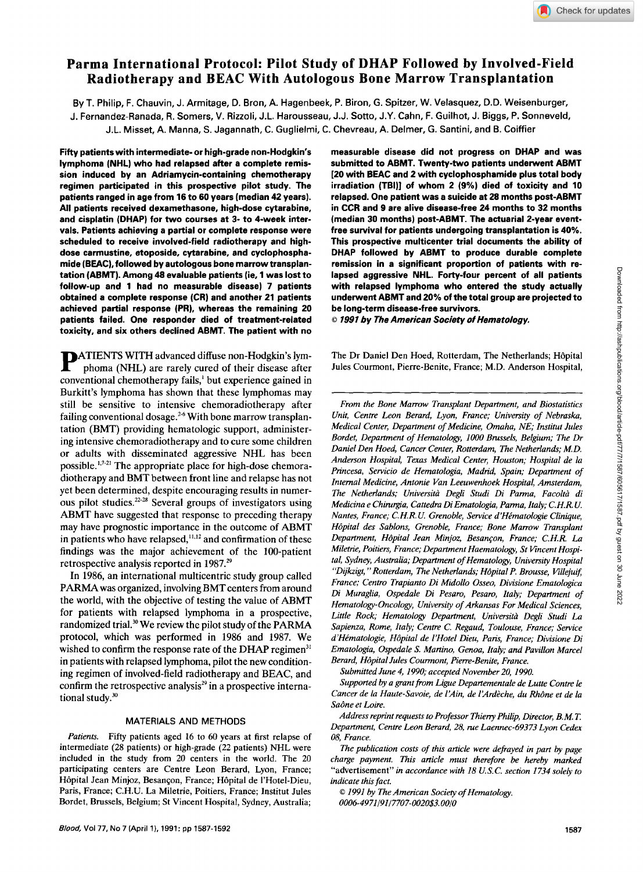# **Parma International Protocol: Pilot Study of DHAP Followed by Involved-Field Radiotherapy and BEAC With Autologous Bone Marrow Transplantation**

By T. Philip, F. Chauvin, J. Armitage, D. Bron, A. Hagenbeek, P. Biron, G. Spitzer, W. Velasquez, D.D. Weisenburger, J. Fernandez-Ranada, R. Somers, V. Rizzoli, J.L. Harousseau, J.J. **Sotto,** J.Y. Cahn, F. Guilhot, J. Biggs, P. Sonneveld,

J.L. Misset, A. Manna, *S.* Jagannath, C. Guglielmi, C. Chevreau, A. Delmer, G. Santini, and **6.** Coiffier

Fifty patients with intermediate- or high-grade non-Hodgkin's lymphoma (NHL) who had relapsed after a complete remission induced by an Adriamycin-containing chemotherapy regimen participated in this prospective pilot study. The patients ranged in age from 16 to 60 years (median 42 years). All patients received dexamethasone, high-dose cytarabine, and cisplatin (DHAP) for two courses at **3-** to 4-week intervals. Patients achieving a partial or complete response were scheduled to receive involved-field radiotherapy and highdose carmustine, etoposide, cytarabine, and cyclophosphamide (BEAC), followed by autologous bone marrow transplantation (ABMT). Among 48 evaluable patients (ie, 1 was lost to follow-up and 1 had no measurable disease) 7 patients obtained a complete response **(CR)** and another 21 patients achieved partial response (PR), whereas the remaining 20 patients failed. One responder died of treatment-related toxicity, and six others declined ABMT. The patient with no

**PATIENTS WITH advanced diffuse non-Hodgkin's lym-** phoma (NHL) are rarely cured of their disease after conventional chemotherapy fails,' but experience gained in Burkitt's lymphoma has shown that these lymphomas may still be sensitive to intensive chemoradiotherapy after failing conventional dosage.<sup>26</sup> With bone marrow transplantation (BMT) providing hematologic support, administering intensive chemoradiotherapy and to cure some children or adults with disseminated aggressive NHL has been possible. $^{1,7-21}$  The appropriate place for high-dose chemoradiotherapy and BMT between front line and relapse has not yet been determined, despite encouraging results in numerous pilot studies. $22-28$  Several groups of investigators using ABMT have suggested that response to preceding therapy may have prognostic importance in the outcome of ABMT in patients who have relapsed, $^{11,12}$  and confirmation of these findings was the major achievement of the 100-patient retrospective analysis reported in 1987?

In 1986, an international multicentric study group called PARMA was organized, involving BMT centers from around the world, with the objective of testing the value of ABMT for patients with relapsed lymphoma in a prospective, randomized trial.<sup>30</sup> We review the pilot study of the PARMA protocol, which was performed in 1986 and 1987. We wished to confirm the response rate of the DHAP regimen<sup>31</sup> in patients with relapsed lymphoma, pilot the new conditioning regimen of involved-field radiotherapy and BEAC, and confirm the retrospective analysis $^{29}$  in a prospective international study. $30$ 

# MATERIALS AND METHODS

Patients. Fifty patients aged 16 to 60 years at first relapse of intermediate (28 patients) or high-grade (22 patients) NHL were included in the study from 20 centers in the world. The 20 participating centers are Centre Leon Berard, Lyon, France; Hôpital Jean Minjoz, Besançon, France; Hôpital de l'Hotel-Dieu, Paris, France; C.H.U. La Miletrie, Poitiers, France; Institut Jules Bordet, Brussels, Belgium; St Vincent Hospital, Sydney, Australia;

measurable disease did not progress on DHAP and was submitted to ABMT. Twenty-two patients underwent ABMT [20 with BEAC and 2 with cyclophosphamide plus total body irradiation (TBI)] of whom 2 (9%) died of toxicity and **10**  relapsed. One patient was a suicide at 28 months post-ABMT in CCR and 9 are alive disease-free 24 months to **32** months (median *30* months) post-ABMT. The actuarial 2-year eventfree survival for patients undergoing transplantation is 40%. This prospective multicenter trial documents the ability of DHAP followed by ABMT to produce durable complete remission in a significant proportion of patients with relapsed aggressive NHL. Forty-four percent of all patients with relapsed lymphoma who entered the study actually underwent ABMT and 20% of the total group are projected to be long-term disease-free survivors.

6 1991 by *The American Society of Hematology.* 

The Dr Daniel Den Hoed, Rotterdam, The Netherlands; Hôpital Jules Courmont, Pierre-Benite, France; M.D. Anderson Hospital,

*From the Bone Marrow Transplant Department, and Biostatistics Unit, Centre Leon Berard, Lyon, France; University of Nebraska, Medical Center, Department of Medicine, Omaha, NE; Institut Jules Bordet, Department of Hematology, 1000 Brussels, Belgium; The Dr Daniel Den Hoed, Cancer Center, Rotterdam, The Netherlands; M.D. Anderson Hospital, Teras Medical Center, Houston; Hospital de la Princesa, Servicio de Hematologia, Madrid, Spain; Department of Internal Medicine, Antonie Van Leeuwenhoek Hospital, Amsterdam, The Netherlands; Universita Degli Studi Di Parma, Facolta di Medicina e Chirurgia, Cattedra Di Ematologia, Parma, Italy; C. H.R. U. Nantes, France; C.H.R.U. Grenoble, Service d'Hématologie Clinique, HBpital des Sablons, Grenoble, France; Bone Marrow Transplant Department, Hbpital Jean Minjoz, Besancon, France; C. H.R. La Miletrie, Poitiers, France; Department Haematology, St Kncent Hospital, Sydney, Australia; Department of Hematology, University Hospital*  "Dijkzigt," Rotterdam, The Netherlands; Hôpital P. Brousse, Villejuif, *France; Centro Trapianto Di Midollo Osseo, Divisione Ematologica Di Muraglia, Ospedale Di Pesaro, Pesaro, Italy; Department of Hematology-Oncology, University of Arkansas For Medical Sciences, Little Rock; Hematology Department, Universita Degli Studi La Sapienza, Rome, Italy; Centre C. Regaud, Toulouse, France; Service d'Himatologie, HBpital de I'Hotel Dieu, Paris, France; Divisione Di Ematologia, Ospedale S. Martino, Genoa, Italy; and Pavilion Marcel*  Berard, Hôpital Jules Courmont, Pierre-Benite, France.

*Submitted June 4, 1990; accepted November 20, 1990.* 

*Supported by a grant from Ligue Departementale de Lutte Contre le*  Cancer de la Haute-Savoie, de l'Ain, de l'Ardèche, du Rhône et de la Saône et Loire.

*Address reprint requests to Professor Thieny Phil@, Director, B. M. T. Department, Centre Leon Berard, 28, rue Laennec-69373 Lyon Ceder OS, France.* 

*The publication costs of this article were defrayed in part by page charge payment. This article must therefore be hereby marked*  "advertisement" *in accordance with 18 U.S.C. section 1734 solely to indicate this fact.* 

*0 I991 by The American Society of Hematology. 0006-4971 /91/7707-0020\$3.00/0*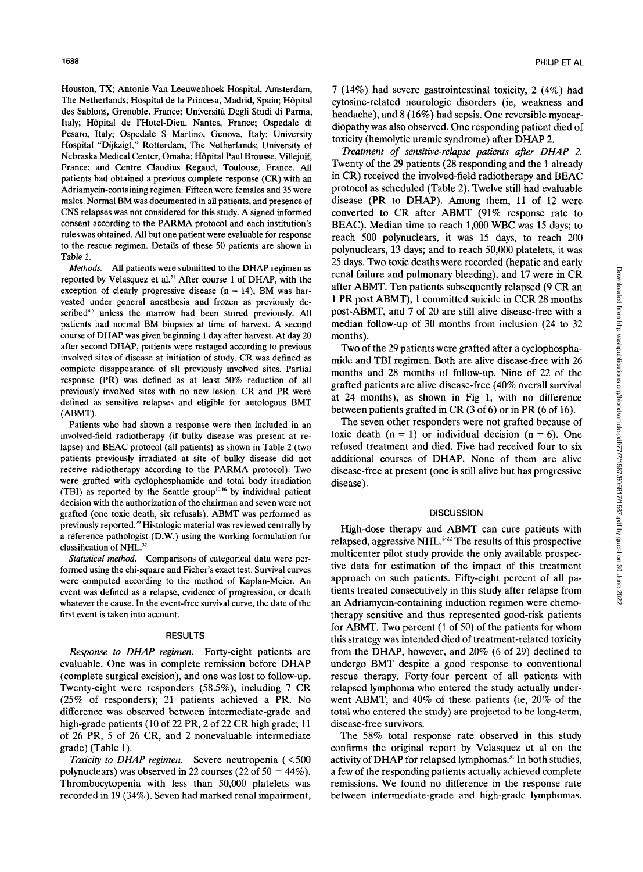Houston, TX; Antonie Van Leeuwenhoek Hospital, Amsterdam, The Netherlands; Hospital de la Princesa, Madrid, Spain; Hôpital des Sablons, Grenoble, France; Università Degli Studi di Parma, Italy; Hôpital de l'Hotel-Dieu, Nantes, France; Ospedale di Pesaro, Italy; Ospedale **S** Martino, Genova, Italy; University Hospital "Dijkzigt," Rotterdam, The Netherlands; University of Nebraska Medical Center, Omaha; Hôpital Paul Brousse, Villejuif, France; and Centre Claudius Regaud, Toulouse, France. All patients had obtained a previous complete response (CR) with an Adriamycin-containing regimen. Fifteen were females and 35 were males. Normal BM was documented in all patients, and presence of CNS relapses was not considered for this study. A signed informed consent according to the PARMA protocol and each institution's rules was obtained. All but one patient were evaluable for response to the rescue regimen. Details of these *50* patients are shown in Table **1.** 

*Methods.* All patients were submitted to the DHAP regimen as reported by Velasquez et al." After course **1** of DHAP, with the exception of clearly progressive disease  $(n = 14)$ , BM was harvested under general anesthesia and frozen as previously described<sup>4,5</sup> unless the marrow had been stored previously. All patients had normal BM biopsies at time of harvest. A second course of DHAP was given beginning **1** day after harvest. At day **20**  after second DHAP, patients were restaged according to previous involved sites of disease at initiation of study. CR was defined as complete disappearance of all previously involved sites. Partial response (PR) was defined as at least 50% reduction of all previously involved sites with no new lesion. CR and PR were defined as sensitive relapses and eligible for autologous BMT (ABMT).

Patients who had shown a response were then included in an involved-field radiotherapy (if bulky disease was present at relapse) and BEAC protocol (all patients) as shown in Table 2 (two patients previously irradiated at site of bulky disease did not receive radiotherapy according to the PARMA protocol). Two were grafted with cyclophosphamide and total body irradiation (TBI) as reported by the Seattle group<sup>10,16</sup> by individual patient decision with the authorization of the chairman and seven were not grafted (one toxic death, six refusals). ABMT was performed as previously reported.<sup>29</sup> Histologic material was reviewed centrally by a reference pathologist (D.W.) using the working formulation for classification of NHL.<sup>32</sup>

*Statistical method.* Comparisons of categorical data were performed using the chi-square and Ficher's exact test. Survival curves were computed according to the method of Kaplan-Meier. *An*  event was defined as a relapse, evidence of progression, or death whatever the cause. **In** the event-free survival curve, the date of the first event **is** taken into account.

#### **RESULTS**

Response to DHAP regimen. Forty-eight patients are evaluable. One was in complete remission before DHAP (complete surgical excision), and one was lost to follow-up. Twenty-eight were responders *(58.5%),* including **7** CR (25% of responders); 21 patients achieved a PR. No difference was observed between intermediate-grade and high-grade patients (10 of 22 PR, 2 of 22 CR high grade; 11 of 26 PR, 5 of 26 CR, and 2 nonevaluable intermediate grade) (Table 1).

Toxicity to DHAP regimen. Severe neutropenia (<500 polynuclears) was observed in 22 courses (22 of  $50 = 44\%$ ). Thrombocytopenia with less than 50,000 platelets was recorded in 19 (34%). Seven had marked renal impairment,

**7** (14%) had severe gastrointestinal toxicity, 2 **(4%)** had cytosine-related neurologic disorders (ie, weakness and headache), and 8 (16%) had sepsis. One reversible myocardiopathy was also observed. One responding patient died of toxicity (hemolytic uremic syndrome) after DHAP 2.

*Treatment* of *sensitive-relapse patients afier DHAP* 2. Twenty of the 29 patients (28 responding and the 1 already in CR) received the involved-field radiotherapy and BEAC protocol as scheduled (Table 2). Twelve still had evaluable disease (PR to DHAP). Among them, 11 of 12 were converted to CR after ABMT (91% response rate to BEAC). Median time to reach 1,000 WBC was 15 days; to reach 500 polynuclears, it was 15 days, to reach 200 polynuclears, 13 days; and to reach 50,000 platelets, it was 25 days. Two toxic deaths were recorded (hepatic and early renal failure and pulmonary bleeding), and 17 were in CR after ABMT. Ten patients subsequently relapsed (9 CR an 1 PR post ABMT), 1 committed suicide in CCR 28 months post-ABMT, and **7** of 20 are still alive disease-free with a median follow-up of 30 months from inclusion (24 to **32**  months).

Two of the 29 patients were grafted after a cyclophosphamide and TBI regimen. Both are alive disease-free with 26 months and 28 months of follow-up. Nine of 22 of the grafted patients are alive disease-free (40% overall survival at 24 months), as shown in Fig 1, with no difference between patients grafted in CR (3 of 6) or in PR (6 of 16).

The seven other responders were not grafted because of toxic death  $(n = 1)$  or individual decision  $(n = 6)$ . One refused treatment and died. Five had received four to **six**  additional courses of DHAP. None of them are alive disease-free at present (one is still alive but has progressive disease).

## **DISCUSSION**

High-dose therapy and ABMT can cure patients with relapsed, aggressive NHL. $^{2-22}$  The results of this prospective multicenter pilot study provide the only available prospective data for estimation of the impact of this treatment approach on such patients. Fifty-eight percent of all patients treated consecutively in this study after relapse from an Adriamycin-containing induction regimen were chemotherapy sensitive and thus represented good-risk patients for ABMT. Two percent (1 of 50) of the patients for whom this strategy was intended died of treatment-related toxicity from the DHAP, however, and 20% (6 of 29) declined to undergo BMT despite a good response to conventional rescue therapy. Forty-four percent of all patients with relapsed lymphoma who entered the study actually underwent ABMT, and 40% of these patients (ie, 20% of the total who entered the study) are projected to be long-term, disease-free survivors.

The 58% total response rate observed in this study confirms the original report by Velasquez et al on the activity of DHAP for relapsed lymphomas.<sup>31</sup> In both studies, a few of the responding patients actually achieved complete remissions. We found no difference in the response rate between intermediate-grade and high-grade lymphomas.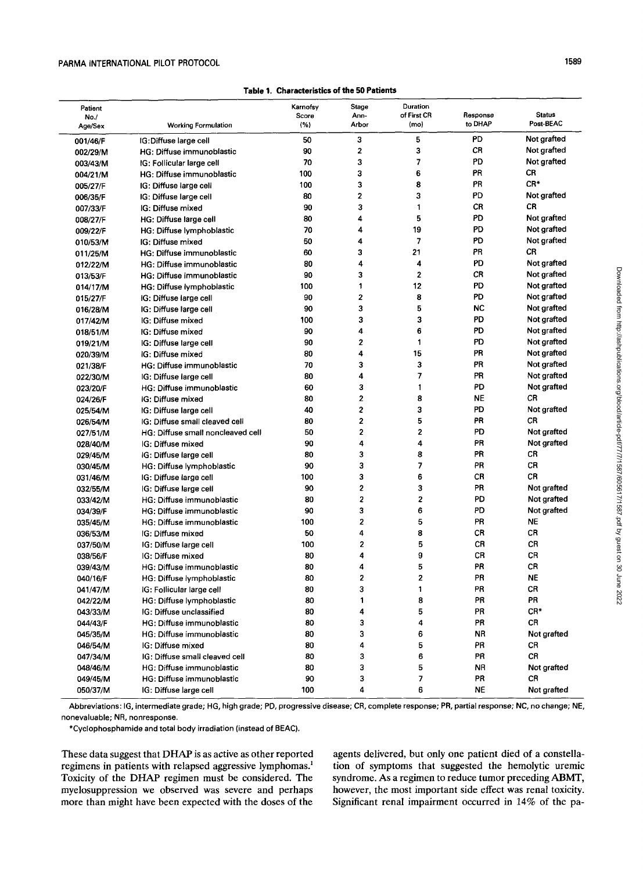# PARMA INTERNATIONAL PILOT PROTOCOL *1589*

### Table 1. Characteristics *of* the 50 **Patients**

| 5<br>PD<br>Not grafted<br>50<br>3<br>IG:Diffuse large cell<br>001/46/F<br>2<br>3<br>CR<br>Not grafted<br>90<br>HG: Diffuse immunoblastic<br>002/29/M<br>PD<br>Not grafted<br>3<br>7<br>70<br>IG: Follicular large cell<br>003/43/M<br>PR<br>3<br>6<br>CR<br>100<br>HG: Diffuse immunoblastic<br>004/21/M<br>CR*<br>3<br>8<br>PR<br>100<br>IG: Diffuse large cell<br>005/27/F<br>2<br>3<br>PD<br>Not grafted<br>80<br>IG: Diffuse large cell<br>006/35/F<br>1<br>CR.<br>CR<br>90<br>3<br>IG: Diffuse mixed<br>007/33/F<br>5<br>PD<br>Not grafted<br>4<br>80<br>HG: Diffuse large cell<br>008/27/F<br>PD<br>4<br>19<br>Not grafted<br>70<br>HG: Diffuse lymphoblastic<br>009/22/F<br>PD<br>$\overline{7}$<br>Not grafted<br>50<br>4<br>IG: Diffuse mixed<br>010/53/M<br>CR<br>3<br>21<br>PR<br>60<br>HG: Diffuse immunoblastic<br>011/25/M<br>4<br>4<br>PD<br>Not grafted<br>80<br>HG: Diffuse immunoblastic<br>012/22/M<br>3<br>$\overline{2}$<br>CR<br>Not grafted<br>90<br>HG: Diffuse immunoblastic<br>013/53/F<br>12<br>PD<br>1<br>Not grafted<br>100<br>HG: Diffuse lymphoblastic<br>014/17/M<br>$\mathbf 2$<br>8<br>PD<br>Not grafted<br>90<br>015/27/F<br>IG: Diffuse large cell<br>3<br>5<br>90<br>NC<br>Not grafted<br>IG: Diffuse large cell<br>016/28/M<br>3<br>3<br>PD<br>Not grafted<br>100<br>IG: Diffuse mixed<br>017/42/M<br>6<br>PD<br>4<br>Not grafted<br>90<br>IG: Diffuse mixed<br>018/51/M<br>$\overline{\mathbf{c}}$<br>PD<br>1<br>Not grafted<br>90<br>IG: Diffuse large cell<br>019/21/M<br>PR<br>$\overline{4}$<br>15<br>Not grafted<br>80<br>IG: Diffuse mixed<br>020/39/M<br>3<br>PR<br>Not grafted<br>70<br>3<br>HG: Diffuse immunoblastic<br>021/38/F<br>$\overline{7}$<br>PR<br>80<br>4<br>Not grafted<br>IG: Diffuse large cell<br>022/30/M<br>3<br>PD<br>1<br>Not grafted<br>60<br>HG: Diffuse immunoblastic<br>023/20/F<br>2<br>8<br>NE<br>CR<br>80<br>IG: Diffuse mixed<br>024/26/F<br>2<br>3<br>PD<br>Not grafted<br>40<br>IG: Diffuse large cell<br>025/54/M<br>5<br><b>CR</b><br>80<br>$\overline{2}$<br>ΡR<br>IG: Diffuse small cleaved cell<br>026/54/M<br>2<br>$\overline{\mathbf{c}}$<br>PD<br>Not grafted<br>HG: Diffuse small noncleaved cell<br>50<br>027/51/M<br>4<br>4<br>PR<br>Not grafted<br>90<br>IG: Diffuse mixed<br>028/40/M<br>8<br>PR<br>CR<br>80<br>3<br>IG: Diffuse large cell<br>029/45/M<br>CR<br>3<br>$\overline{\phantom{a}}$<br>PR<br>90<br>HG: Diffuse lymphoblastic<br>030/45/M<br>6<br>CR<br>3<br>CR<br>IG: Diffuse large cell<br>100<br>031/46/M<br>2<br>3<br>PR<br>90<br>Not grafted<br>IG: Diffuse large cell<br>032/55/M<br>2<br>2<br>PD<br>80<br>Not grafted<br>HG: Diffuse immunoblastic<br>033/42/M<br>3<br>6<br>90<br>PD<br>Not grafted<br>HG: Diffuse immunoblastic<br>034/39/F<br>$\overline{\mathbf{2}}$<br>5<br>PR<br>NE<br>100<br>HG: Diffuse immunoblastic<br>035/45/M<br>4<br>8<br>CR<br>CR<br>50<br>036/53/M<br>IG: Diffuse mixed<br>100<br>2<br>5<br>CR<br>CR<br>IG: Diffuse large cell<br>037/50/M<br>4<br>9<br>CR<br>CR<br>80<br>038/56/F<br>IG: Diffuse mixed<br>PR<br>4<br>5<br>CR<br>80<br>039/43/M<br>HG: Diffuse immunoblastic<br>PR<br>NE<br>2<br>2<br>80<br>040/16/F<br>HG: Diffuse lymphoblastic<br>3<br>1<br>PR<br>CR<br>80<br>IG: Follicular large cell<br>041/47/M<br>PR<br>PR<br>80<br>1<br>8<br>042/22/M<br>HG: Diffuse lymphoblastic<br>CR*<br>5<br>80<br>4<br>PR<br>IG: Diffuse unclassified<br>043/33/M<br>3<br>CR<br>80<br>4<br>PR<br>HG: Diffuse immunoblastic<br>044/43/F<br>80<br>3<br>6<br>ΝR<br>Not grafted<br>HG: Diffuse immunoblastic<br>045/35/M<br>4<br>CR<br>046/54/M<br>IG: Diffuse mixed<br>80<br>5<br>PR<br>6<br>CR<br>80<br>3<br>PR<br>IG: Diffuse small cleaved cell<br>047/34/M<br>3<br><b>NR</b><br>80<br>5<br>Not grafted<br>HG: Diffuse immunoblastic<br>048/46/M<br>3<br>PR<br>CR<br>HG: Diffuse immunoblastic<br>90<br>7<br>049/45/M<br>4<br>IG: Diffuse large cell<br>100<br>6<br>NE<br>Not grafted<br>050/37/M | Patient<br>No./<br>Age/Sex | Working Formulation | Karnofsy<br>Score<br>(% ) | Stage<br>Ann-<br>Arbor | Duration<br>of First CR<br>(mo) | Response<br>to DHAP | <b>Status</b><br>Post-BEAC |
|-------------------------------------------------------------------------------------------------------------------------------------------------------------------------------------------------------------------------------------------------------------------------------------------------------------------------------------------------------------------------------------------------------------------------------------------------------------------------------------------------------------------------------------------------------------------------------------------------------------------------------------------------------------------------------------------------------------------------------------------------------------------------------------------------------------------------------------------------------------------------------------------------------------------------------------------------------------------------------------------------------------------------------------------------------------------------------------------------------------------------------------------------------------------------------------------------------------------------------------------------------------------------------------------------------------------------------------------------------------------------------------------------------------------------------------------------------------------------------------------------------------------------------------------------------------------------------------------------------------------------------------------------------------------------------------------------------------------------------------------------------------------------------------------------------------------------------------------------------------------------------------------------------------------------------------------------------------------------------------------------------------------------------------------------------------------------------------------------------------------------------------------------------------------------------------------------------------------------------------------------------------------------------------------------------------------------------------------------------------------------------------------------------------------------------------------------------------------------------------------------------------------------------------------------------------------------------------------------------------------------------------------------------------------------------------------------------------------------------------------------------------------------------------------------------------------------------------------------------------------------------------------------------------------------------------------------------------------------------------------------------------------------------------------------------------------------------------------------------------------------------------------------------------------------------------------------------------------------------------------------------------------------------------------------------------------------------------------------------------------------------------------------------------------------------------------------------------------------------------------------------------------------------------------------------------------------------------------------------------------------------------------------------------------------------------------------------------------------------------------------------------------------------------------------------------------------------------------------------------------------------------------------------------------------------------------|----------------------------|---------------------|---------------------------|------------------------|---------------------------------|---------------------|----------------------------|
|                                                                                                                                                                                                                                                                                                                                                                                                                                                                                                                                                                                                                                                                                                                                                                                                                                                                                                                                                                                                                                                                                                                                                                                                                                                                                                                                                                                                                                                                                                                                                                                                                                                                                                                                                                                                                                                                                                                                                                                                                                                                                                                                                                                                                                                                                                                                                                                                                                                                                                                                                                                                                                                                                                                                                                                                                                                                                                                                                                                                                                                                                                                                                                                                                                                                                                                                                                                                                                                                                                                                                                                                                                                                                                                                                                                                                                                                                                                                           |                            |                     |                           |                        |                                 |                     |                            |
|                                                                                                                                                                                                                                                                                                                                                                                                                                                                                                                                                                                                                                                                                                                                                                                                                                                                                                                                                                                                                                                                                                                                                                                                                                                                                                                                                                                                                                                                                                                                                                                                                                                                                                                                                                                                                                                                                                                                                                                                                                                                                                                                                                                                                                                                                                                                                                                                                                                                                                                                                                                                                                                                                                                                                                                                                                                                                                                                                                                                                                                                                                                                                                                                                                                                                                                                                                                                                                                                                                                                                                                                                                                                                                                                                                                                                                                                                                                                           |                            |                     |                           |                        |                                 |                     |                            |
|                                                                                                                                                                                                                                                                                                                                                                                                                                                                                                                                                                                                                                                                                                                                                                                                                                                                                                                                                                                                                                                                                                                                                                                                                                                                                                                                                                                                                                                                                                                                                                                                                                                                                                                                                                                                                                                                                                                                                                                                                                                                                                                                                                                                                                                                                                                                                                                                                                                                                                                                                                                                                                                                                                                                                                                                                                                                                                                                                                                                                                                                                                                                                                                                                                                                                                                                                                                                                                                                                                                                                                                                                                                                                                                                                                                                                                                                                                                                           |                            |                     |                           |                        |                                 |                     |                            |
|                                                                                                                                                                                                                                                                                                                                                                                                                                                                                                                                                                                                                                                                                                                                                                                                                                                                                                                                                                                                                                                                                                                                                                                                                                                                                                                                                                                                                                                                                                                                                                                                                                                                                                                                                                                                                                                                                                                                                                                                                                                                                                                                                                                                                                                                                                                                                                                                                                                                                                                                                                                                                                                                                                                                                                                                                                                                                                                                                                                                                                                                                                                                                                                                                                                                                                                                                                                                                                                                                                                                                                                                                                                                                                                                                                                                                                                                                                                                           |                            |                     |                           |                        |                                 |                     |                            |
|                                                                                                                                                                                                                                                                                                                                                                                                                                                                                                                                                                                                                                                                                                                                                                                                                                                                                                                                                                                                                                                                                                                                                                                                                                                                                                                                                                                                                                                                                                                                                                                                                                                                                                                                                                                                                                                                                                                                                                                                                                                                                                                                                                                                                                                                                                                                                                                                                                                                                                                                                                                                                                                                                                                                                                                                                                                                                                                                                                                                                                                                                                                                                                                                                                                                                                                                                                                                                                                                                                                                                                                                                                                                                                                                                                                                                                                                                                                                           |                            |                     |                           |                        |                                 |                     |                            |
|                                                                                                                                                                                                                                                                                                                                                                                                                                                                                                                                                                                                                                                                                                                                                                                                                                                                                                                                                                                                                                                                                                                                                                                                                                                                                                                                                                                                                                                                                                                                                                                                                                                                                                                                                                                                                                                                                                                                                                                                                                                                                                                                                                                                                                                                                                                                                                                                                                                                                                                                                                                                                                                                                                                                                                                                                                                                                                                                                                                                                                                                                                                                                                                                                                                                                                                                                                                                                                                                                                                                                                                                                                                                                                                                                                                                                                                                                                                                           |                            |                     |                           |                        |                                 |                     |                            |
|                                                                                                                                                                                                                                                                                                                                                                                                                                                                                                                                                                                                                                                                                                                                                                                                                                                                                                                                                                                                                                                                                                                                                                                                                                                                                                                                                                                                                                                                                                                                                                                                                                                                                                                                                                                                                                                                                                                                                                                                                                                                                                                                                                                                                                                                                                                                                                                                                                                                                                                                                                                                                                                                                                                                                                                                                                                                                                                                                                                                                                                                                                                                                                                                                                                                                                                                                                                                                                                                                                                                                                                                                                                                                                                                                                                                                                                                                                                                           |                            |                     |                           |                        |                                 |                     |                            |
|                                                                                                                                                                                                                                                                                                                                                                                                                                                                                                                                                                                                                                                                                                                                                                                                                                                                                                                                                                                                                                                                                                                                                                                                                                                                                                                                                                                                                                                                                                                                                                                                                                                                                                                                                                                                                                                                                                                                                                                                                                                                                                                                                                                                                                                                                                                                                                                                                                                                                                                                                                                                                                                                                                                                                                                                                                                                                                                                                                                                                                                                                                                                                                                                                                                                                                                                                                                                                                                                                                                                                                                                                                                                                                                                                                                                                                                                                                                                           |                            |                     |                           |                        |                                 |                     |                            |
|                                                                                                                                                                                                                                                                                                                                                                                                                                                                                                                                                                                                                                                                                                                                                                                                                                                                                                                                                                                                                                                                                                                                                                                                                                                                                                                                                                                                                                                                                                                                                                                                                                                                                                                                                                                                                                                                                                                                                                                                                                                                                                                                                                                                                                                                                                                                                                                                                                                                                                                                                                                                                                                                                                                                                                                                                                                                                                                                                                                                                                                                                                                                                                                                                                                                                                                                                                                                                                                                                                                                                                                                                                                                                                                                                                                                                                                                                                                                           |                            |                     |                           |                        |                                 |                     |                            |
|                                                                                                                                                                                                                                                                                                                                                                                                                                                                                                                                                                                                                                                                                                                                                                                                                                                                                                                                                                                                                                                                                                                                                                                                                                                                                                                                                                                                                                                                                                                                                                                                                                                                                                                                                                                                                                                                                                                                                                                                                                                                                                                                                                                                                                                                                                                                                                                                                                                                                                                                                                                                                                                                                                                                                                                                                                                                                                                                                                                                                                                                                                                                                                                                                                                                                                                                                                                                                                                                                                                                                                                                                                                                                                                                                                                                                                                                                                                                           |                            |                     |                           |                        |                                 |                     |                            |
|                                                                                                                                                                                                                                                                                                                                                                                                                                                                                                                                                                                                                                                                                                                                                                                                                                                                                                                                                                                                                                                                                                                                                                                                                                                                                                                                                                                                                                                                                                                                                                                                                                                                                                                                                                                                                                                                                                                                                                                                                                                                                                                                                                                                                                                                                                                                                                                                                                                                                                                                                                                                                                                                                                                                                                                                                                                                                                                                                                                                                                                                                                                                                                                                                                                                                                                                                                                                                                                                                                                                                                                                                                                                                                                                                                                                                                                                                                                                           |                            |                     |                           |                        |                                 |                     |                            |
|                                                                                                                                                                                                                                                                                                                                                                                                                                                                                                                                                                                                                                                                                                                                                                                                                                                                                                                                                                                                                                                                                                                                                                                                                                                                                                                                                                                                                                                                                                                                                                                                                                                                                                                                                                                                                                                                                                                                                                                                                                                                                                                                                                                                                                                                                                                                                                                                                                                                                                                                                                                                                                                                                                                                                                                                                                                                                                                                                                                                                                                                                                                                                                                                                                                                                                                                                                                                                                                                                                                                                                                                                                                                                                                                                                                                                                                                                                                                           |                            |                     |                           |                        |                                 |                     |                            |
|                                                                                                                                                                                                                                                                                                                                                                                                                                                                                                                                                                                                                                                                                                                                                                                                                                                                                                                                                                                                                                                                                                                                                                                                                                                                                                                                                                                                                                                                                                                                                                                                                                                                                                                                                                                                                                                                                                                                                                                                                                                                                                                                                                                                                                                                                                                                                                                                                                                                                                                                                                                                                                                                                                                                                                                                                                                                                                                                                                                                                                                                                                                                                                                                                                                                                                                                                                                                                                                                                                                                                                                                                                                                                                                                                                                                                                                                                                                                           |                            |                     |                           |                        |                                 |                     |                            |
|                                                                                                                                                                                                                                                                                                                                                                                                                                                                                                                                                                                                                                                                                                                                                                                                                                                                                                                                                                                                                                                                                                                                                                                                                                                                                                                                                                                                                                                                                                                                                                                                                                                                                                                                                                                                                                                                                                                                                                                                                                                                                                                                                                                                                                                                                                                                                                                                                                                                                                                                                                                                                                                                                                                                                                                                                                                                                                                                                                                                                                                                                                                                                                                                                                                                                                                                                                                                                                                                                                                                                                                                                                                                                                                                                                                                                                                                                                                                           |                            |                     |                           |                        |                                 |                     |                            |
|                                                                                                                                                                                                                                                                                                                                                                                                                                                                                                                                                                                                                                                                                                                                                                                                                                                                                                                                                                                                                                                                                                                                                                                                                                                                                                                                                                                                                                                                                                                                                                                                                                                                                                                                                                                                                                                                                                                                                                                                                                                                                                                                                                                                                                                                                                                                                                                                                                                                                                                                                                                                                                                                                                                                                                                                                                                                                                                                                                                                                                                                                                                                                                                                                                                                                                                                                                                                                                                                                                                                                                                                                                                                                                                                                                                                                                                                                                                                           |                            |                     |                           |                        |                                 |                     |                            |
|                                                                                                                                                                                                                                                                                                                                                                                                                                                                                                                                                                                                                                                                                                                                                                                                                                                                                                                                                                                                                                                                                                                                                                                                                                                                                                                                                                                                                                                                                                                                                                                                                                                                                                                                                                                                                                                                                                                                                                                                                                                                                                                                                                                                                                                                                                                                                                                                                                                                                                                                                                                                                                                                                                                                                                                                                                                                                                                                                                                                                                                                                                                                                                                                                                                                                                                                                                                                                                                                                                                                                                                                                                                                                                                                                                                                                                                                                                                                           |                            |                     |                           |                        |                                 |                     |                            |
|                                                                                                                                                                                                                                                                                                                                                                                                                                                                                                                                                                                                                                                                                                                                                                                                                                                                                                                                                                                                                                                                                                                                                                                                                                                                                                                                                                                                                                                                                                                                                                                                                                                                                                                                                                                                                                                                                                                                                                                                                                                                                                                                                                                                                                                                                                                                                                                                                                                                                                                                                                                                                                                                                                                                                                                                                                                                                                                                                                                                                                                                                                                                                                                                                                                                                                                                                                                                                                                                                                                                                                                                                                                                                                                                                                                                                                                                                                                                           |                            |                     |                           |                        |                                 |                     |                            |
|                                                                                                                                                                                                                                                                                                                                                                                                                                                                                                                                                                                                                                                                                                                                                                                                                                                                                                                                                                                                                                                                                                                                                                                                                                                                                                                                                                                                                                                                                                                                                                                                                                                                                                                                                                                                                                                                                                                                                                                                                                                                                                                                                                                                                                                                                                                                                                                                                                                                                                                                                                                                                                                                                                                                                                                                                                                                                                                                                                                                                                                                                                                                                                                                                                                                                                                                                                                                                                                                                                                                                                                                                                                                                                                                                                                                                                                                                                                                           |                            |                     |                           |                        |                                 |                     |                            |
|                                                                                                                                                                                                                                                                                                                                                                                                                                                                                                                                                                                                                                                                                                                                                                                                                                                                                                                                                                                                                                                                                                                                                                                                                                                                                                                                                                                                                                                                                                                                                                                                                                                                                                                                                                                                                                                                                                                                                                                                                                                                                                                                                                                                                                                                                                                                                                                                                                                                                                                                                                                                                                                                                                                                                                                                                                                                                                                                                                                                                                                                                                                                                                                                                                                                                                                                                                                                                                                                                                                                                                                                                                                                                                                                                                                                                                                                                                                                           |                            |                     |                           |                        |                                 |                     |                            |
|                                                                                                                                                                                                                                                                                                                                                                                                                                                                                                                                                                                                                                                                                                                                                                                                                                                                                                                                                                                                                                                                                                                                                                                                                                                                                                                                                                                                                                                                                                                                                                                                                                                                                                                                                                                                                                                                                                                                                                                                                                                                                                                                                                                                                                                                                                                                                                                                                                                                                                                                                                                                                                                                                                                                                                                                                                                                                                                                                                                                                                                                                                                                                                                                                                                                                                                                                                                                                                                                                                                                                                                                                                                                                                                                                                                                                                                                                                                                           |                            |                     |                           |                        |                                 |                     |                            |
|                                                                                                                                                                                                                                                                                                                                                                                                                                                                                                                                                                                                                                                                                                                                                                                                                                                                                                                                                                                                                                                                                                                                                                                                                                                                                                                                                                                                                                                                                                                                                                                                                                                                                                                                                                                                                                                                                                                                                                                                                                                                                                                                                                                                                                                                                                                                                                                                                                                                                                                                                                                                                                                                                                                                                                                                                                                                                                                                                                                                                                                                                                                                                                                                                                                                                                                                                                                                                                                                                                                                                                                                                                                                                                                                                                                                                                                                                                                                           |                            |                     |                           |                        |                                 |                     |                            |
|                                                                                                                                                                                                                                                                                                                                                                                                                                                                                                                                                                                                                                                                                                                                                                                                                                                                                                                                                                                                                                                                                                                                                                                                                                                                                                                                                                                                                                                                                                                                                                                                                                                                                                                                                                                                                                                                                                                                                                                                                                                                                                                                                                                                                                                                                                                                                                                                                                                                                                                                                                                                                                                                                                                                                                                                                                                                                                                                                                                                                                                                                                                                                                                                                                                                                                                                                                                                                                                                                                                                                                                                                                                                                                                                                                                                                                                                                                                                           |                            |                     |                           |                        |                                 |                     |                            |
|                                                                                                                                                                                                                                                                                                                                                                                                                                                                                                                                                                                                                                                                                                                                                                                                                                                                                                                                                                                                                                                                                                                                                                                                                                                                                                                                                                                                                                                                                                                                                                                                                                                                                                                                                                                                                                                                                                                                                                                                                                                                                                                                                                                                                                                                                                                                                                                                                                                                                                                                                                                                                                                                                                                                                                                                                                                                                                                                                                                                                                                                                                                                                                                                                                                                                                                                                                                                                                                                                                                                                                                                                                                                                                                                                                                                                                                                                                                                           |                            |                     |                           |                        |                                 |                     |                            |
|                                                                                                                                                                                                                                                                                                                                                                                                                                                                                                                                                                                                                                                                                                                                                                                                                                                                                                                                                                                                                                                                                                                                                                                                                                                                                                                                                                                                                                                                                                                                                                                                                                                                                                                                                                                                                                                                                                                                                                                                                                                                                                                                                                                                                                                                                                                                                                                                                                                                                                                                                                                                                                                                                                                                                                                                                                                                                                                                                                                                                                                                                                                                                                                                                                                                                                                                                                                                                                                                                                                                                                                                                                                                                                                                                                                                                                                                                                                                           |                            |                     |                           |                        |                                 |                     |                            |
|                                                                                                                                                                                                                                                                                                                                                                                                                                                                                                                                                                                                                                                                                                                                                                                                                                                                                                                                                                                                                                                                                                                                                                                                                                                                                                                                                                                                                                                                                                                                                                                                                                                                                                                                                                                                                                                                                                                                                                                                                                                                                                                                                                                                                                                                                                                                                                                                                                                                                                                                                                                                                                                                                                                                                                                                                                                                                                                                                                                                                                                                                                                                                                                                                                                                                                                                                                                                                                                                                                                                                                                                                                                                                                                                                                                                                                                                                                                                           |                            |                     |                           |                        |                                 |                     |                            |
|                                                                                                                                                                                                                                                                                                                                                                                                                                                                                                                                                                                                                                                                                                                                                                                                                                                                                                                                                                                                                                                                                                                                                                                                                                                                                                                                                                                                                                                                                                                                                                                                                                                                                                                                                                                                                                                                                                                                                                                                                                                                                                                                                                                                                                                                                                                                                                                                                                                                                                                                                                                                                                                                                                                                                                                                                                                                                                                                                                                                                                                                                                                                                                                                                                                                                                                                                                                                                                                                                                                                                                                                                                                                                                                                                                                                                                                                                                                                           |                            |                     |                           |                        |                                 |                     |                            |
|                                                                                                                                                                                                                                                                                                                                                                                                                                                                                                                                                                                                                                                                                                                                                                                                                                                                                                                                                                                                                                                                                                                                                                                                                                                                                                                                                                                                                                                                                                                                                                                                                                                                                                                                                                                                                                                                                                                                                                                                                                                                                                                                                                                                                                                                                                                                                                                                                                                                                                                                                                                                                                                                                                                                                                                                                                                                                                                                                                                                                                                                                                                                                                                                                                                                                                                                                                                                                                                                                                                                                                                                                                                                                                                                                                                                                                                                                                                                           |                            |                     |                           |                        |                                 |                     |                            |
|                                                                                                                                                                                                                                                                                                                                                                                                                                                                                                                                                                                                                                                                                                                                                                                                                                                                                                                                                                                                                                                                                                                                                                                                                                                                                                                                                                                                                                                                                                                                                                                                                                                                                                                                                                                                                                                                                                                                                                                                                                                                                                                                                                                                                                                                                                                                                                                                                                                                                                                                                                                                                                                                                                                                                                                                                                                                                                                                                                                                                                                                                                                                                                                                                                                                                                                                                                                                                                                                                                                                                                                                                                                                                                                                                                                                                                                                                                                                           |                            |                     |                           |                        |                                 |                     |                            |
|                                                                                                                                                                                                                                                                                                                                                                                                                                                                                                                                                                                                                                                                                                                                                                                                                                                                                                                                                                                                                                                                                                                                                                                                                                                                                                                                                                                                                                                                                                                                                                                                                                                                                                                                                                                                                                                                                                                                                                                                                                                                                                                                                                                                                                                                                                                                                                                                                                                                                                                                                                                                                                                                                                                                                                                                                                                                                                                                                                                                                                                                                                                                                                                                                                                                                                                                                                                                                                                                                                                                                                                                                                                                                                                                                                                                                                                                                                                                           |                            |                     |                           |                        |                                 |                     |                            |
|                                                                                                                                                                                                                                                                                                                                                                                                                                                                                                                                                                                                                                                                                                                                                                                                                                                                                                                                                                                                                                                                                                                                                                                                                                                                                                                                                                                                                                                                                                                                                                                                                                                                                                                                                                                                                                                                                                                                                                                                                                                                                                                                                                                                                                                                                                                                                                                                                                                                                                                                                                                                                                                                                                                                                                                                                                                                                                                                                                                                                                                                                                                                                                                                                                                                                                                                                                                                                                                                                                                                                                                                                                                                                                                                                                                                                                                                                                                                           |                            |                     |                           |                        |                                 |                     |                            |
|                                                                                                                                                                                                                                                                                                                                                                                                                                                                                                                                                                                                                                                                                                                                                                                                                                                                                                                                                                                                                                                                                                                                                                                                                                                                                                                                                                                                                                                                                                                                                                                                                                                                                                                                                                                                                                                                                                                                                                                                                                                                                                                                                                                                                                                                                                                                                                                                                                                                                                                                                                                                                                                                                                                                                                                                                                                                                                                                                                                                                                                                                                                                                                                                                                                                                                                                                                                                                                                                                                                                                                                                                                                                                                                                                                                                                                                                                                                                           |                            |                     |                           |                        |                                 |                     |                            |
|                                                                                                                                                                                                                                                                                                                                                                                                                                                                                                                                                                                                                                                                                                                                                                                                                                                                                                                                                                                                                                                                                                                                                                                                                                                                                                                                                                                                                                                                                                                                                                                                                                                                                                                                                                                                                                                                                                                                                                                                                                                                                                                                                                                                                                                                                                                                                                                                                                                                                                                                                                                                                                                                                                                                                                                                                                                                                                                                                                                                                                                                                                                                                                                                                                                                                                                                                                                                                                                                                                                                                                                                                                                                                                                                                                                                                                                                                                                                           |                            |                     |                           |                        |                                 |                     |                            |
|                                                                                                                                                                                                                                                                                                                                                                                                                                                                                                                                                                                                                                                                                                                                                                                                                                                                                                                                                                                                                                                                                                                                                                                                                                                                                                                                                                                                                                                                                                                                                                                                                                                                                                                                                                                                                                                                                                                                                                                                                                                                                                                                                                                                                                                                                                                                                                                                                                                                                                                                                                                                                                                                                                                                                                                                                                                                                                                                                                                                                                                                                                                                                                                                                                                                                                                                                                                                                                                                                                                                                                                                                                                                                                                                                                                                                                                                                                                                           |                            |                     |                           |                        |                                 |                     |                            |
|                                                                                                                                                                                                                                                                                                                                                                                                                                                                                                                                                                                                                                                                                                                                                                                                                                                                                                                                                                                                                                                                                                                                                                                                                                                                                                                                                                                                                                                                                                                                                                                                                                                                                                                                                                                                                                                                                                                                                                                                                                                                                                                                                                                                                                                                                                                                                                                                                                                                                                                                                                                                                                                                                                                                                                                                                                                                                                                                                                                                                                                                                                                                                                                                                                                                                                                                                                                                                                                                                                                                                                                                                                                                                                                                                                                                                                                                                                                                           |                            |                     |                           |                        |                                 |                     |                            |
|                                                                                                                                                                                                                                                                                                                                                                                                                                                                                                                                                                                                                                                                                                                                                                                                                                                                                                                                                                                                                                                                                                                                                                                                                                                                                                                                                                                                                                                                                                                                                                                                                                                                                                                                                                                                                                                                                                                                                                                                                                                                                                                                                                                                                                                                                                                                                                                                                                                                                                                                                                                                                                                                                                                                                                                                                                                                                                                                                                                                                                                                                                                                                                                                                                                                                                                                                                                                                                                                                                                                                                                                                                                                                                                                                                                                                                                                                                                                           |                            |                     |                           |                        |                                 |                     |                            |
|                                                                                                                                                                                                                                                                                                                                                                                                                                                                                                                                                                                                                                                                                                                                                                                                                                                                                                                                                                                                                                                                                                                                                                                                                                                                                                                                                                                                                                                                                                                                                                                                                                                                                                                                                                                                                                                                                                                                                                                                                                                                                                                                                                                                                                                                                                                                                                                                                                                                                                                                                                                                                                                                                                                                                                                                                                                                                                                                                                                                                                                                                                                                                                                                                                                                                                                                                                                                                                                                                                                                                                                                                                                                                                                                                                                                                                                                                                                                           |                            |                     |                           |                        |                                 |                     |                            |
|                                                                                                                                                                                                                                                                                                                                                                                                                                                                                                                                                                                                                                                                                                                                                                                                                                                                                                                                                                                                                                                                                                                                                                                                                                                                                                                                                                                                                                                                                                                                                                                                                                                                                                                                                                                                                                                                                                                                                                                                                                                                                                                                                                                                                                                                                                                                                                                                                                                                                                                                                                                                                                                                                                                                                                                                                                                                                                                                                                                                                                                                                                                                                                                                                                                                                                                                                                                                                                                                                                                                                                                                                                                                                                                                                                                                                                                                                                                                           |                            |                     |                           |                        |                                 |                     |                            |
|                                                                                                                                                                                                                                                                                                                                                                                                                                                                                                                                                                                                                                                                                                                                                                                                                                                                                                                                                                                                                                                                                                                                                                                                                                                                                                                                                                                                                                                                                                                                                                                                                                                                                                                                                                                                                                                                                                                                                                                                                                                                                                                                                                                                                                                                                                                                                                                                                                                                                                                                                                                                                                                                                                                                                                                                                                                                                                                                                                                                                                                                                                                                                                                                                                                                                                                                                                                                                                                                                                                                                                                                                                                                                                                                                                                                                                                                                                                                           |                            |                     |                           |                        |                                 |                     |                            |
|                                                                                                                                                                                                                                                                                                                                                                                                                                                                                                                                                                                                                                                                                                                                                                                                                                                                                                                                                                                                                                                                                                                                                                                                                                                                                                                                                                                                                                                                                                                                                                                                                                                                                                                                                                                                                                                                                                                                                                                                                                                                                                                                                                                                                                                                                                                                                                                                                                                                                                                                                                                                                                                                                                                                                                                                                                                                                                                                                                                                                                                                                                                                                                                                                                                                                                                                                                                                                                                                                                                                                                                                                                                                                                                                                                                                                                                                                                                                           |                            |                     |                           |                        |                                 |                     |                            |
|                                                                                                                                                                                                                                                                                                                                                                                                                                                                                                                                                                                                                                                                                                                                                                                                                                                                                                                                                                                                                                                                                                                                                                                                                                                                                                                                                                                                                                                                                                                                                                                                                                                                                                                                                                                                                                                                                                                                                                                                                                                                                                                                                                                                                                                                                                                                                                                                                                                                                                                                                                                                                                                                                                                                                                                                                                                                                                                                                                                                                                                                                                                                                                                                                                                                                                                                                                                                                                                                                                                                                                                                                                                                                                                                                                                                                                                                                                                                           |                            |                     |                           |                        |                                 |                     |                            |
|                                                                                                                                                                                                                                                                                                                                                                                                                                                                                                                                                                                                                                                                                                                                                                                                                                                                                                                                                                                                                                                                                                                                                                                                                                                                                                                                                                                                                                                                                                                                                                                                                                                                                                                                                                                                                                                                                                                                                                                                                                                                                                                                                                                                                                                                                                                                                                                                                                                                                                                                                                                                                                                                                                                                                                                                                                                                                                                                                                                                                                                                                                                                                                                                                                                                                                                                                                                                                                                                                                                                                                                                                                                                                                                                                                                                                                                                                                                                           |                            |                     |                           |                        |                                 |                     |                            |
|                                                                                                                                                                                                                                                                                                                                                                                                                                                                                                                                                                                                                                                                                                                                                                                                                                                                                                                                                                                                                                                                                                                                                                                                                                                                                                                                                                                                                                                                                                                                                                                                                                                                                                                                                                                                                                                                                                                                                                                                                                                                                                                                                                                                                                                                                                                                                                                                                                                                                                                                                                                                                                                                                                                                                                                                                                                                                                                                                                                                                                                                                                                                                                                                                                                                                                                                                                                                                                                                                                                                                                                                                                                                                                                                                                                                                                                                                                                                           |                            |                     |                           |                        |                                 |                     |                            |
|                                                                                                                                                                                                                                                                                                                                                                                                                                                                                                                                                                                                                                                                                                                                                                                                                                                                                                                                                                                                                                                                                                                                                                                                                                                                                                                                                                                                                                                                                                                                                                                                                                                                                                                                                                                                                                                                                                                                                                                                                                                                                                                                                                                                                                                                                                                                                                                                                                                                                                                                                                                                                                                                                                                                                                                                                                                                                                                                                                                                                                                                                                                                                                                                                                                                                                                                                                                                                                                                                                                                                                                                                                                                                                                                                                                                                                                                                                                                           |                            |                     |                           |                        |                                 |                     |                            |
|                                                                                                                                                                                                                                                                                                                                                                                                                                                                                                                                                                                                                                                                                                                                                                                                                                                                                                                                                                                                                                                                                                                                                                                                                                                                                                                                                                                                                                                                                                                                                                                                                                                                                                                                                                                                                                                                                                                                                                                                                                                                                                                                                                                                                                                                                                                                                                                                                                                                                                                                                                                                                                                                                                                                                                                                                                                                                                                                                                                                                                                                                                                                                                                                                                                                                                                                                                                                                                                                                                                                                                                                                                                                                                                                                                                                                                                                                                                                           |                            |                     |                           |                        |                                 |                     |                            |
|                                                                                                                                                                                                                                                                                                                                                                                                                                                                                                                                                                                                                                                                                                                                                                                                                                                                                                                                                                                                                                                                                                                                                                                                                                                                                                                                                                                                                                                                                                                                                                                                                                                                                                                                                                                                                                                                                                                                                                                                                                                                                                                                                                                                                                                                                                                                                                                                                                                                                                                                                                                                                                                                                                                                                                                                                                                                                                                                                                                                                                                                                                                                                                                                                                                                                                                                                                                                                                                                                                                                                                                                                                                                                                                                                                                                                                                                                                                                           |                            |                     |                           |                        |                                 |                     |                            |
|                                                                                                                                                                                                                                                                                                                                                                                                                                                                                                                                                                                                                                                                                                                                                                                                                                                                                                                                                                                                                                                                                                                                                                                                                                                                                                                                                                                                                                                                                                                                                                                                                                                                                                                                                                                                                                                                                                                                                                                                                                                                                                                                                                                                                                                                                                                                                                                                                                                                                                                                                                                                                                                                                                                                                                                                                                                                                                                                                                                                                                                                                                                                                                                                                                                                                                                                                                                                                                                                                                                                                                                                                                                                                                                                                                                                                                                                                                                                           |                            |                     |                           |                        |                                 |                     |                            |
|                                                                                                                                                                                                                                                                                                                                                                                                                                                                                                                                                                                                                                                                                                                                                                                                                                                                                                                                                                                                                                                                                                                                                                                                                                                                                                                                                                                                                                                                                                                                                                                                                                                                                                                                                                                                                                                                                                                                                                                                                                                                                                                                                                                                                                                                                                                                                                                                                                                                                                                                                                                                                                                                                                                                                                                                                                                                                                                                                                                                                                                                                                                                                                                                                                                                                                                                                                                                                                                                                                                                                                                                                                                                                                                                                                                                                                                                                                                                           |                            |                     |                           |                        |                                 |                     |                            |
|                                                                                                                                                                                                                                                                                                                                                                                                                                                                                                                                                                                                                                                                                                                                                                                                                                                                                                                                                                                                                                                                                                                                                                                                                                                                                                                                                                                                                                                                                                                                                                                                                                                                                                                                                                                                                                                                                                                                                                                                                                                                                                                                                                                                                                                                                                                                                                                                                                                                                                                                                                                                                                                                                                                                                                                                                                                                                                                                                                                                                                                                                                                                                                                                                                                                                                                                                                                                                                                                                                                                                                                                                                                                                                                                                                                                                                                                                                                                           |                            |                     |                           |                        |                                 |                     |                            |
|                                                                                                                                                                                                                                                                                                                                                                                                                                                                                                                                                                                                                                                                                                                                                                                                                                                                                                                                                                                                                                                                                                                                                                                                                                                                                                                                                                                                                                                                                                                                                                                                                                                                                                                                                                                                                                                                                                                                                                                                                                                                                                                                                                                                                                                                                                                                                                                                                                                                                                                                                                                                                                                                                                                                                                                                                                                                                                                                                                                                                                                                                                                                                                                                                                                                                                                                                                                                                                                                                                                                                                                                                                                                                                                                                                                                                                                                                                                                           |                            |                     |                           |                        |                                 |                     |                            |
|                                                                                                                                                                                                                                                                                                                                                                                                                                                                                                                                                                                                                                                                                                                                                                                                                                                                                                                                                                                                                                                                                                                                                                                                                                                                                                                                                                                                                                                                                                                                                                                                                                                                                                                                                                                                                                                                                                                                                                                                                                                                                                                                                                                                                                                                                                                                                                                                                                                                                                                                                                                                                                                                                                                                                                                                                                                                                                                                                                                                                                                                                                                                                                                                                                                                                                                                                                                                                                                                                                                                                                                                                                                                                                                                                                                                                                                                                                                                           |                            |                     |                           |                        |                                 |                     |                            |

Abbreviations: IG, intermediate grade; HG, high grade; PD, progressive disease; CR, complete response: PR, partial response; NC, no change; NE, nonevaluable; NR, nonresponse.

\*Cyclophosphamide and total body irradiation (instead of BEAC).

**These data suggest that** DHAF' **is as active as other reported regimens in patients with relapsed aggressive lymphomas.' Toxicity** of **the DHAP regimen must be considered. The myelosuppression we observed was severe and perhaps more than might have been expected with the doses** of **the** 

**agents delivered, but only one patient died** of **a constellation** of **symptoms that suggested the hemolytic uremic syndrome. As a regimen to reduce tumor preceding ABMT, however, the most important side effect was renal toxicity. Significant renal impairment occurred in 14%** of **the pa-**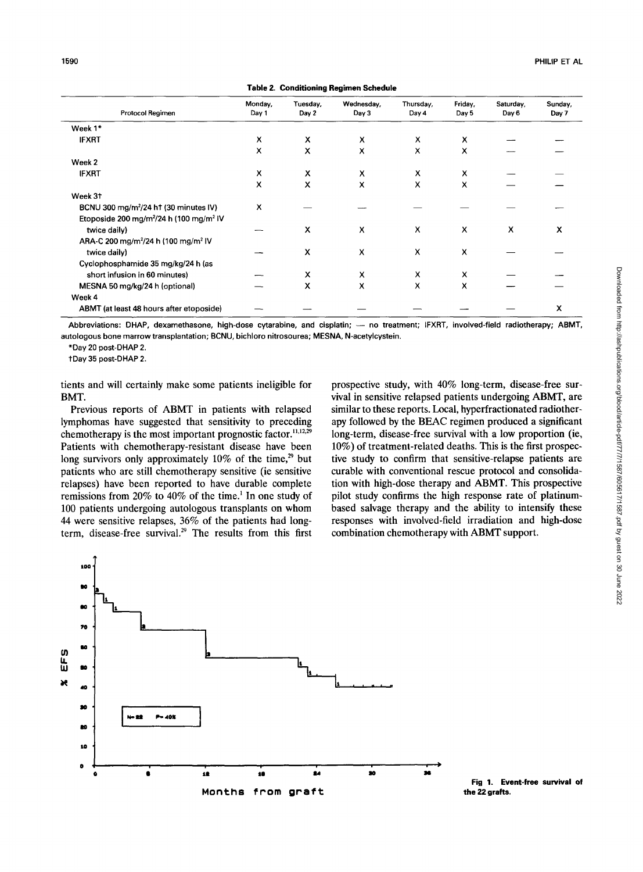|                                                                                                                                                                                                                                                                                                                                                                                                                                                                                                                                                                                                                                                                                                                                      |                  |                   | rapic 2. Conditioning Regimen Schedur                                                                                                                                                                                                                                                                                                                                                                                                                                                                                                                                                                                                                                                                                                    |                    |                  |                    |                  |
|--------------------------------------------------------------------------------------------------------------------------------------------------------------------------------------------------------------------------------------------------------------------------------------------------------------------------------------------------------------------------------------------------------------------------------------------------------------------------------------------------------------------------------------------------------------------------------------------------------------------------------------------------------------------------------------------------------------------------------------|------------------|-------------------|------------------------------------------------------------------------------------------------------------------------------------------------------------------------------------------------------------------------------------------------------------------------------------------------------------------------------------------------------------------------------------------------------------------------------------------------------------------------------------------------------------------------------------------------------------------------------------------------------------------------------------------------------------------------------------------------------------------------------------------|--------------------|------------------|--------------------|------------------|
| Protocol Regimen                                                                                                                                                                                                                                                                                                                                                                                                                                                                                                                                                                                                                                                                                                                     | Monday,<br>Day 1 | Tuesday,<br>Day 2 | Wednesday,<br>Day 3                                                                                                                                                                                                                                                                                                                                                                                                                                                                                                                                                                                                                                                                                                                      | Thursday,<br>Day 4 | Friday,<br>Day 5 | Saturday,<br>Day 6 | Sunday,<br>Day 7 |
| Week 1*                                                                                                                                                                                                                                                                                                                                                                                                                                                                                                                                                                                                                                                                                                                              |                  |                   |                                                                                                                                                                                                                                                                                                                                                                                                                                                                                                                                                                                                                                                                                                                                          |                    |                  |                    |                  |
| <b>IFXRT</b>                                                                                                                                                                                                                                                                                                                                                                                                                                                                                                                                                                                                                                                                                                                         | x                | x                 | x                                                                                                                                                                                                                                                                                                                                                                                                                                                                                                                                                                                                                                                                                                                                        | х                  | x                |                    |                  |
|                                                                                                                                                                                                                                                                                                                                                                                                                                                                                                                                                                                                                                                                                                                                      | x                | x                 | x                                                                                                                                                                                                                                                                                                                                                                                                                                                                                                                                                                                                                                                                                                                                        | x                  | x                |                    |                  |
| Week 2                                                                                                                                                                                                                                                                                                                                                                                                                                                                                                                                                                                                                                                                                                                               |                  |                   |                                                                                                                                                                                                                                                                                                                                                                                                                                                                                                                                                                                                                                                                                                                                          |                    |                  |                    |                  |
| <b>IFXRT</b>                                                                                                                                                                                                                                                                                                                                                                                                                                                                                                                                                                                                                                                                                                                         | х                | x                 | х                                                                                                                                                                                                                                                                                                                                                                                                                                                                                                                                                                                                                                                                                                                                        | x                  | x                |                    |                  |
|                                                                                                                                                                                                                                                                                                                                                                                                                                                                                                                                                                                                                                                                                                                                      | x                | x                 | x                                                                                                                                                                                                                                                                                                                                                                                                                                                                                                                                                                                                                                                                                                                                        | X                  | x                |                    |                  |
| Week 31                                                                                                                                                                                                                                                                                                                                                                                                                                                                                                                                                                                                                                                                                                                              |                  |                   |                                                                                                                                                                                                                                                                                                                                                                                                                                                                                                                                                                                                                                                                                                                                          |                    |                  |                    |                  |
| BCNU 300 mg/m <sup>2</sup> /24 ht (30 minutes IV)                                                                                                                                                                                                                                                                                                                                                                                                                                                                                                                                                                                                                                                                                    | x                |                   |                                                                                                                                                                                                                                                                                                                                                                                                                                                                                                                                                                                                                                                                                                                                          |                    |                  |                    |                  |
| Etoposide 200 mg/m <sup>2</sup> /24 h (100 mg/m <sup>2</sup> IV<br>twice daily)                                                                                                                                                                                                                                                                                                                                                                                                                                                                                                                                                                                                                                                      |                  | х                 | х                                                                                                                                                                                                                                                                                                                                                                                                                                                                                                                                                                                                                                                                                                                                        | x                  | х                | х                  | x                |
| ARA-C 200 mg/m <sup>2</sup> /24 h (100 mg/m <sup>2</sup> IV                                                                                                                                                                                                                                                                                                                                                                                                                                                                                                                                                                                                                                                                          |                  |                   |                                                                                                                                                                                                                                                                                                                                                                                                                                                                                                                                                                                                                                                                                                                                          |                    |                  |                    |                  |
| twice daily)                                                                                                                                                                                                                                                                                                                                                                                                                                                                                                                                                                                                                                                                                                                         |                  | x                 | x                                                                                                                                                                                                                                                                                                                                                                                                                                                                                                                                                                                                                                                                                                                                        | x                  | x                |                    |                  |
| Cyclophosphamide 35 mg/kg/24 h (as                                                                                                                                                                                                                                                                                                                                                                                                                                                                                                                                                                                                                                                                                                   |                  |                   |                                                                                                                                                                                                                                                                                                                                                                                                                                                                                                                                                                                                                                                                                                                                          |                    |                  |                    |                  |
| short infusion in 60 minutes)                                                                                                                                                                                                                                                                                                                                                                                                                                                                                                                                                                                                                                                                                                        |                  | х                 | х                                                                                                                                                                                                                                                                                                                                                                                                                                                                                                                                                                                                                                                                                                                                        | x                  | х                |                    |                  |
| MESNA 50 mg/kg/24 h (optional)                                                                                                                                                                                                                                                                                                                                                                                                                                                                                                                                                                                                                                                                                                       |                  | x                 | x                                                                                                                                                                                                                                                                                                                                                                                                                                                                                                                                                                                                                                                                                                                                        | x                  | x                |                    |                  |
| Week 4                                                                                                                                                                                                                                                                                                                                                                                                                                                                                                                                                                                                                                                                                                                               |                  |                   |                                                                                                                                                                                                                                                                                                                                                                                                                                                                                                                                                                                                                                                                                                                                          |                    |                  |                    |                  |
| ABMT (at least 48 hours after etoposide)                                                                                                                                                                                                                                                                                                                                                                                                                                                                                                                                                                                                                                                                                             |                  |                   |                                                                                                                                                                                                                                                                                                                                                                                                                                                                                                                                                                                                                                                                                                                                          |                    |                  |                    | x                |
| *Day 20 post-DHAP 2.<br>+Day 35 post-DHAP 2.<br>tients and will certainly make some patients ineligible for                                                                                                                                                                                                                                                                                                                                                                                                                                                                                                                                                                                                                          |                  |                   | prospective study, with 40% long-term, disease-free sur-                                                                                                                                                                                                                                                                                                                                                                                                                                                                                                                                                                                                                                                                                 |                    |                  |                    |                  |
| BMT.<br>Previous reports of ABMT in patients with relapsed<br>lymphomas have suggested that sensitivity to preceding<br>chemotherapy is the most important prognostic factor. <sup>11,12,29</sup><br>Patients with chemotherapy-resistant disease have been<br>long survivors only approximately 10% of the time, <sup>29</sup> but<br>patients who are still chemotherapy sensitive (ie sensitive<br>relapses) have been reported to have durable complete<br>remissions from 20% to 40% of the time. <sup>1</sup> In one study of<br>100 patients undergoing autologous transplants on whom<br>44 were sensitive relapses, 36% of the patients had long-<br>term, disease-free survival. <sup>29</sup> The results from this first |                  |                   | vival in sensitive relapsed patients undergoing ABMT, are<br>similar to these reports. Local, hyperfractionated radiother-<br>apy followed by the BEAC regimen produced a significant<br>long-term, disease-free survival with a low proportion (ie<br>10%) of treatment-related deaths. This is the first prospec-<br>tive study to confirm that sensitive-relapse patients are<br>curable with conventional rescue protocol and consolida-<br>tion with high-dose therapy and ABMT. This prospective<br>pilot study confirms the high response rate of platinum-<br>based salvage therapy and the ability to intensify these<br>responses with involved-field irradiation and high-dose<br>combination chemotherapy with ABMT support. |                    |                  |                    |                  |
| 100<br>70<br>80<br>ເກ<br>⊥<br>ມ<br>80<br>40<br>30<br>P= 40X<br>80<br>10<br>۰<br>12                                                                                                                                                                                                                                                                                                                                                                                                                                                                                                                                                                                                                                                   | 18               | 84                | 30                                                                                                                                                                                                                                                                                                                                                                                                                                                                                                                                                                                                                                                                                                                                       |                    |                  |                    |                  |

**Table 2. Conditioning Regimen Schedule** 



**Fig 1. Event-free survival of**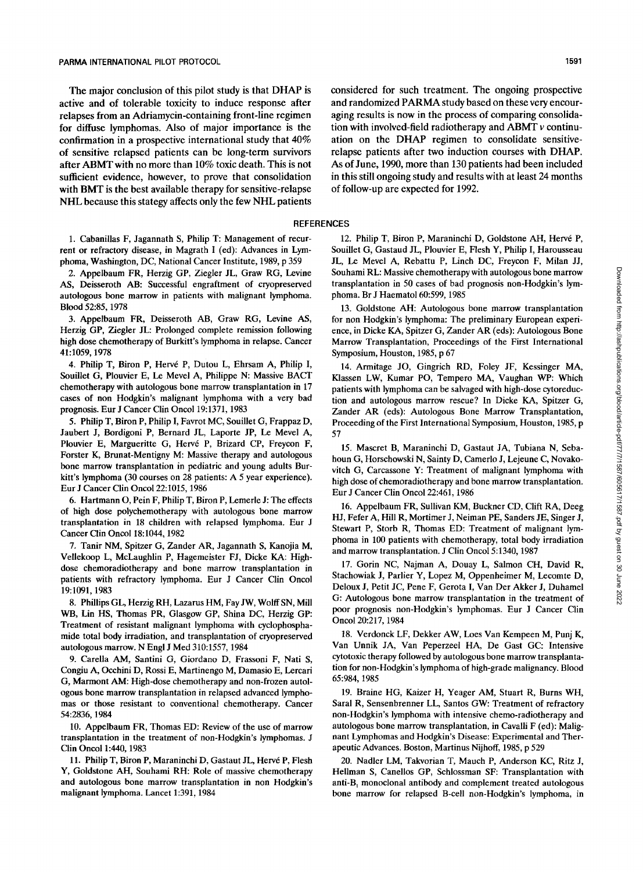The major conclusion of this pilot study is that DHAP is active and of tolerable toxicity to induce response after relapses from an Adriamycin-containing front-line regimen for diffuse lymphomas. Also of major importance is the confirmation in a prospective international study that **40%**  of sensitive relapsed patients can be long-term survivors after ABMT with no more than 10% toxic death. This is not sufficient evidence, however, to prove that consolidation with BMT is the best available therapy for sensitive-relapse NHL because this stategy affects only the few NHL patients

**1.** Cabanillas F, Jagannath S, Philip T: Management of recurrent or refractory disease, in Magrath I (ed): Advances in Lymphoma, Washington, DC, National Cancer Institute, 1989, p 359

2. Appelbaum FR, Herzig GP, Ziegler JL, Graw RG, Levine AS, Deisseroth AB: Successful engraftment *of* cryopreserved autologous bone marrow in patients with malignant lymphoma. Blood 52:85, 1978

3. Appelbaum FR, Deisseroth AB, Graw RG, Levine AS, Herzig GP, Ziegler JL: Prolonged complete remission following high dose chemotherapy of Burkitt's lymphoma in relapse. Cancer 41:1059,1978

4. Philip T, Biron P, Herve P, Dutou L, Ehrsam **A,** Philip I, Souillet G, Plouvier E, Le Mevel A, Philippe N: Massive BACT chemotherapy with autologous bone marrow transplantation in 17 cases of non Hodgkin's malignant lymphoma with a very bad prognosis. Eur J Cancer Clin Oncol 19:1371, 1983

5. Philip T, Biron P, Philip I, Favrot MC, Souillet G, Frappaz D, Jaubert J, Bordigoni P, Bernard JL, Laporte JP, Le Mevel **A,**  Plouvier E, Margueritte G, Hervé P, Brizard CP, Freycon F, Forster **K,** Brunat-Mentigny M: Massive therapy and autologous bone marrow transplantation in pediatric and young adults Burkitt's lymphoma (30 courses on 28 patients: A 5 year experience). Eur **J** Cancer Clin Oncol22:1015,1986

6. Hartmann 0, Pein F, Philip T, Biron P, Lemerle J: The effects of high dose polychemotherapy with autologous bone marrow transplantation in 18 children with relapsed lymphoma. Eur J Cancer Clin Oncol 18:1044, 1982

7. Tanir NM, Spitzer G, Zander AR, Jagannath S, Kanojia M, Vellekoop L, McLaughlin P, Hagemeister FJ, Dicke KA: Highdose chemoradiotherapy and bone marrow transplantation in patients with refractory lymphoma. Eur **J** Cancer Clin Oncol 19:1091, 1983

8. Phillips GL, Herzig RH, Lazarus HM, Fay JW, Wolff SN, Mill **WB,** Lin HS, Thomas PR, Glasgow GP, Shina DC, Herzig GP: Treatment of resistant malignant lymphoma with cyclophosphamide total body irradiation, and transplantation of cryopreserved autologous marrow. N Engl J Med 310:1557,1984

9. Carella *AM,* Santini G, Giordano D, Frassoni F, Nati S, Congiu **A,** Occhini D, Rossi E, Martinengo M, Damasio E, Lercari G, Marmont AM: High-dose chemotherapy and non-frozen autologous bone marrow transplantation in relapsed advanced lymphomas or those resistant to conventional chemotherapy. Cancer 542836,1984

10. Appelbaum FR, Thomas ED: Review of the use of marrow transplantation in the treatment of non-Hodgkin's lymphomas. J Clin Oncol 1:440, 1983

11. Philip T, Biron P, Maraninchi D, Gastaut JL, Hervé P, Flesh Y, Goldstone AH, Souhami RH: Role of massive chemotherapy and autologous bone marrow transplantation in non Hodgkin's malignant lymphoma. Lancet 1:391,1984

considered for such treatment. The ongoing prospective and randomized **PARMA** study based on these very encouraging results is now in the process of comparing consolidation with involved-field radiotherapy and ABMT *v* continuation on the DHAP regimen to consolidate sensitiverelapse patients after two induction courses with DHAP. *As* of June, 1990, more than 130 patients had been included in this still ongoing study and results with at least 24 months of follow-up are expected for 1992.

#### **REFERENCES**

12. Philip T, Biron P, Maraninchi D, Goldstone AH, Herve P, Souillet G, Gastaud JL, Plouvier E, Flesh Y, Philip I, Harousseau JL, Le Mevel A, Rebattu P, Linch DC, Freycon F, Milan JJ, Souhami RL: Massive chemotherapy with autologous bone marrow transplantation in 50 cases of bad prognosis non-Hodgkin's lymphoma. Br J Haematol 60:599, 1985

13. Goldstone AH: Autologous bone marrow transplantation for non Hodgkin's lymphoma: The preliminary European experience, in Dicke KA, Spitzer G, Zander AR (eds): Autologous Bone Marrow Transplantation, Proceedings of the First International Symposium, Houston, 1985, p 67

14. Armitage JO, Gingrich RD, Foley JF, Kessinger MA, Klassen LW, Kumar PO, Temper0 MA, Vaughan **WP:** Which patients with lymphoma can be salvaged with high-dose cytoreduction and autologous marrow rescue? In Dicke KA, Spitzer G, Zander AR (eds): Autologous Bone Marrow Transplantation, Proceeding of the First International Symposium, Houston, 1985, p 57

15. Mascret B, Maraninchi D, Gastaut JA, Tubiana N, Sebahoun G, Horschowski N, Sainty D, Camerlo **J,** Lejeune C, Novakovitch G, Carcassone Y: Treatment of malignant lymphoma with high dose of chemoradiotherapy and bone marrow transplantation. Eur J Cancer Clin Oncol22:461,1986

16. Appelbaum FR, Sullivan KM, Buckner CD, Clift RA, Deeg HJ, Fefer A, Hill R, Mortimer J, Neiman PE, Sanders JE, Singer **J,**  Stewart P, Storb R, Thomas ED: Treatment of malignant lymphoma in 100 patients with chemotherapy, total body irradiation and marrow transplantation. J Clin Oncol 5:1340, 1987

17. Gorin NC, Najman A, Douay L, Salmon CH, David R, Stachowiak J, Parlier Y, Lopez M, Oppenheimer M, Lecomte D, Delow J, Petit JC, Pene F, Gerota I, Van Der Akker J, Duhamel G: Autologous bone marrow transplantation in the treatment of poor prognosis non-Hodgkin's lymphomas. Eur J Cancer Clin Oncol 20:217, 1984

18. Verdonck LF, Dekker AW, Loes Van Kempeen M, Punj K, Van Unnik JA, Van Peperzeel HA, De Gast GC Intensive cytotoxic therapy followed by autologous bone marrow transplantation for non-Hodgkin's lymphoma of high-grade malignancy. Blood 65:984,1985

19. Braine HG, Kaizer H, Yeager *AM,* Stuart R, Burns WH, Saral R, Sensenbrenner LL, Santos GW: Treatment of refractory non-Hodgkin's lymphoma with intensive chemo-radiotherapy and autologous bone marrow transplantation, in Cavalli F (ed): Malignant Lymphomas and Hodgkin's Disease: Experimental and Therapeutic Advances. Boston, Martinus Nijhoff, 1985, p 529

20. Nadler LM, Takvorian T, Mauch P, Anderson KC, Ritz **J,**  Hellman S, Canellos GP, Schlossman SF: Transplantation with anti-B, monoclonal antibody and complement treated autologous bone marrow for relapsed B-cell non-Hodgkin's lymphoma, in